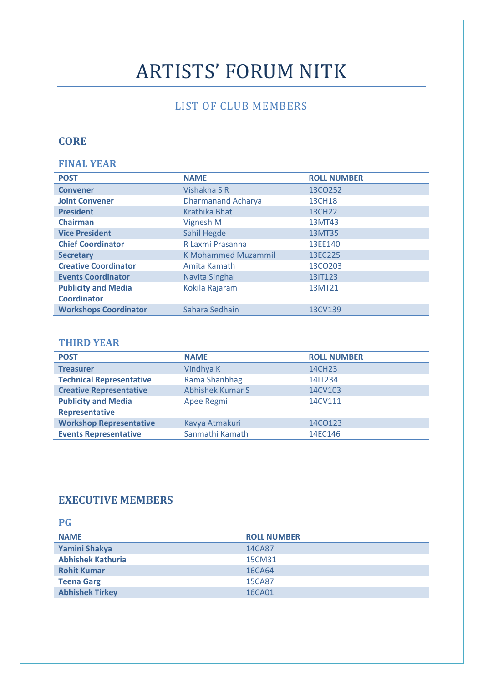# ARTISTS' FORUM NITK

# LIST OF CLUB MEMBERS

# **CORE**

#### **FINAL YEAR**

| <b>POST</b>                  | <b>NAME</b>                | <b>ROLL NUMBER</b>  |
|------------------------------|----------------------------|---------------------|
| <b>Convener</b>              | Vishakha S R               | 13CO252             |
| <b>Joint Convener</b>        | <b>Dharmanand Acharya</b>  | <b>13CH18</b>       |
| <b>President</b>             | <b>Krathika Bhat</b>       | 13CH <sub>22</sub>  |
| <b>Chairman</b>              | Vignesh M                  | 13MT43              |
| <b>Vice President</b>        | Sahil Hegde                | 13MT35              |
| <b>Chief Coordinator</b>     | R Laxmi Prasanna           | 13EE140             |
| <b>Secretary</b>             | <b>K Mohammed Muzammil</b> | 13EC225             |
| <b>Creative Coordinator</b>  | Amita Kamath               | 13CO <sub>203</sub> |
| <b>Events Coordinator</b>    | <b>Navita Singhal</b>      | 13IT123             |
| <b>Publicity and Media</b>   | Kokila Rajaram             | 13MT21              |
| <b>Coordinator</b>           |                            |                     |
| <b>Workshops Coordinator</b> | Sahara Sedhain             | 13CV139             |

#### **THIRD YEAR**

| <b>POST</b>                     | <b>NAME</b>             | <b>ROLL NUMBER</b> |
|---------------------------------|-------------------------|--------------------|
| <b>Treasurer</b>                | Vindhya K               | 14CH23             |
| <b>Technical Representative</b> | Rama Shanbhag           | 14IT234            |
| <b>Creative Representative</b>  | <b>Abhishek Kumar S</b> | 14CV103            |
| <b>Publicity and Media</b>      | Apee Regmi              | 14CV111            |
| <b>Representative</b>           |                         |                    |
| <b>Workshop Representative</b>  | Kavya Atmakuri          | 14CO123            |
| <b>Events Representative</b>    | Sanmathi Kamath         | 14EC146            |

#### **EXECUTIVE MEMBERS**

| <b>PG</b>                |                    |
|--------------------------|--------------------|
| <b>NAME</b>              | <b>ROLL NUMBER</b> |
| Yamini Shakya            | 14CA87             |
| <b>Abhishek Kathuria</b> | 15CM31             |
| <b>Rohit Kumar</b>       | 16CA64             |
| <b>Teena Garg</b>        | 15CA87             |
| <b>Abhishek Tirkey</b>   | 16CA01             |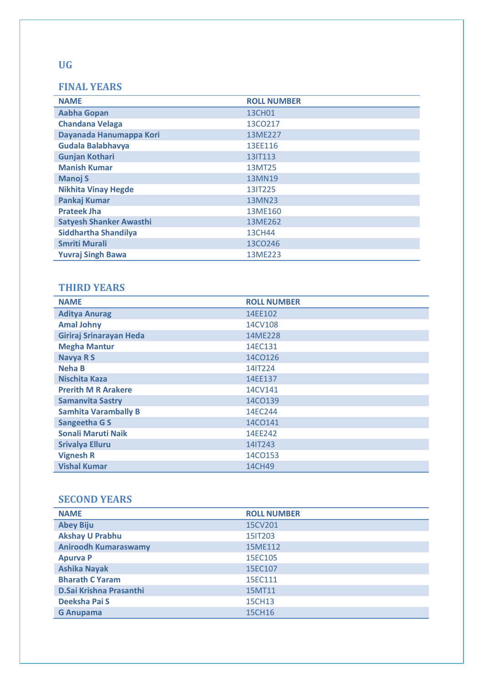## **FINAL YEARS**

| <b>NAME</b>                    | <b>ROLL NUMBER</b> |
|--------------------------------|--------------------|
| <b>Aabha Gopan</b>             | 13CH01             |
| <b>Chandana Velaga</b>         | 13CO217            |
| Dayanada Hanumappa Kori        | 13ME227            |
| Gudala Balabhavya              | 13EE116            |
| <b>Gunjan Kothari</b>          | 13IT113            |
| <b>Manish Kumar</b>            | 13MT25             |
| <b>Manoj S</b>                 | 13MN19             |
| <b>Nikhita Vinay Hegde</b>     | 13IT225            |
| Pankaj Kumar                   | 13MN23             |
| <b>Prateek Jha</b>             | 13ME160            |
| <b>Satyesh Shanker Awasthi</b> | 13ME262            |
| Siddhartha Shandilya           | <b>13CH44</b>      |
| <b>Smriti Murali</b>           | 13CO246            |
| <b>Yuvraj Singh Bawa</b>       | 13ME223            |

## **THIRD YEARS**

| <b>NAME</b>                 | <b>ROLL NUMBER</b> |
|-----------------------------|--------------------|
| <b>Aditya Anurag</b>        | 14EE102            |
| <b>Amal Johny</b>           | 14CV108            |
| Giriraj Srinarayan Heda     | 14ME228            |
| <b>Megha Mantur</b>         | 14EC131            |
| <b>Navya RS</b>             | 14CO126            |
| <b>Neha B</b>               | 14IT224            |
| <b>Nischita Kaza</b>        | 14EE137            |
| <b>Prerith M R Arakere</b>  | 14CV141            |
| <b>Samanvita Sastry</b>     | 14CO139            |
| <b>Samhita Varambally B</b> | 14EC244            |
| <b>Sangeetha GS</b>         | 14CO141            |
| <b>Sonali Maruti Naik</b>   | 14EE242            |
| <b>Srivalya Elluru</b>      | 14IT243            |
| <b>Vignesh R</b>            | 14CO153            |
| <b>Vishal Kumar</b>         | 14CH49             |

## **SECOND YEARS**

| <b>NAME</b>                 | <b>ROLL NUMBER</b> |
|-----------------------------|--------------------|
| <b>Abey Biju</b>            | 15CV201            |
| <b>Akshay U Prabhu</b>      | 15IT203            |
| <b>Aniroodh Kumaraswamy</b> | 15ME112            |
| <b>Apurva P</b>             | 15EC105            |
| <b>Ashika Nayak</b>         | 15EC107            |
| <b>Bharath C Yaram</b>      | 15EC111            |
| D.Sai Krishna Prasanthi     | 15MT11             |
| Deeksha Pai S               | 15CH13             |
| <b>G</b> Anupama            | 15CH16             |

## **UG**